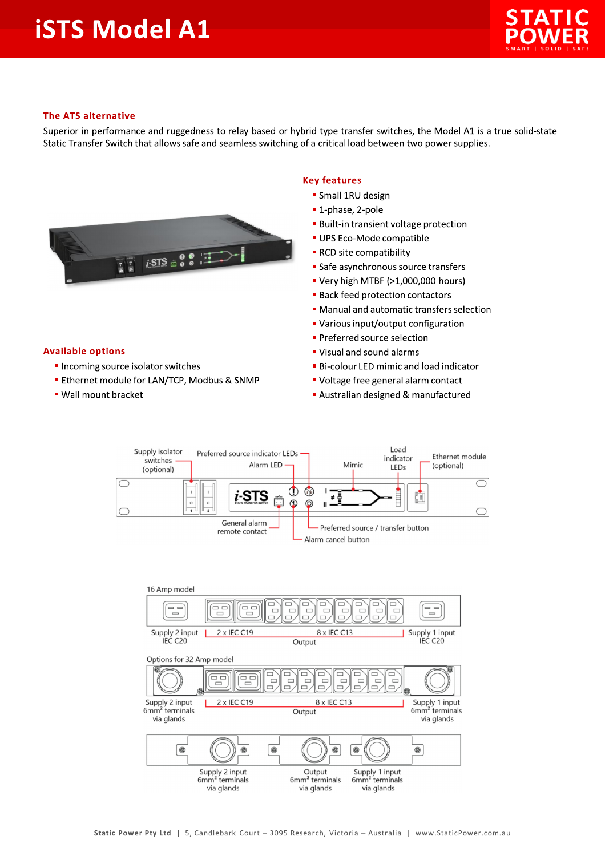## **iSTS Model A1**



## **The ATS alternative**

Superior in performance and ruggedness to relay based or hybrid type transfer switches, the Model A1 is a true solid-state Static Transfer Switch that allows safe and seamless switching of a critical load between two power supplies.



## **Key features**

- · Small 1RU design
- 1-phase, 2-pole
- **Built-in transient voltage protection**
- UPS Eco-Mode compatible
- RCD site compatibility
- Safe asynchronous source transfers
- " Very high MTBF (>1,000,000 hours)
- **Back feed protection contactors**
- Manual and automatic transfers selection
- Various input/output configuration
- Preferred source selection
- " Visual and sound alarms
- **Bi-colour LED mimic and load indicator**
- " Voltage free general alarm contact
- Australian designed & manufactured



## **Available options**

- Incoming source isolator switches
- **Ethernet module for LAN/TCP, Modbus & SNMP**
- . Wall mount bracket